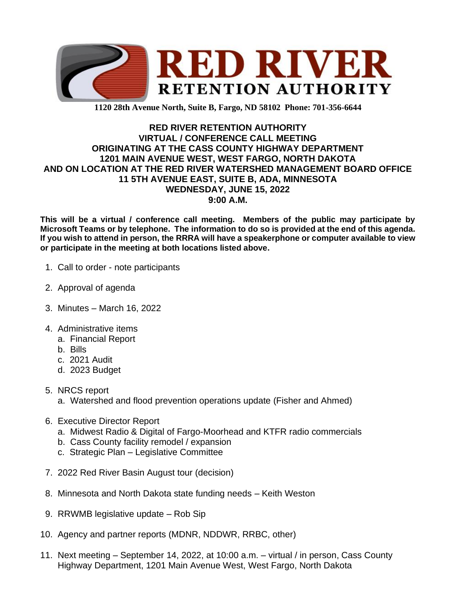

**1120 28th Avenue North, Suite B, Fargo, ND 58102 Phone: 701-356-6644**

## **RED RIVER RETENTION AUTHORITY VIRTUAL / CONFERENCE CALL MEETING ORIGINATING AT THE CASS COUNTY HIGHWAY DEPARTMENT 1201 MAIN AVENUE WEST, WEST FARGO, NORTH DAKOTA AND ON LOCATION AT THE RED RIVER WATERSHED MANAGEMENT BOARD OFFICE 11 5TH AVENUE EAST, SUITE B, ADA, MINNESOTA WEDNESDAY, JUNE 15, 2022 9:00 A.M.**

**This will be a virtual / conference call meeting. Members of the public may participate by Microsoft Teams or by telephone. The information to do so is provided at the end of this agenda. If you wish to attend in person, the RRRA will have a speakerphone or computer available to view or participate in the meeting at both locations listed above.**

- 1. Call to order note participants
- 2. Approval of agenda
- 3. Minutes March 16, 2022
- 4. Administrative items
	- a. Financial Report
	- b. Bills
	- c. 2021 Audit
	- d. 2023 Budget
- 5. NRCS report
	- a. Watershed and flood prevention operations update (Fisher and Ahmed)
- 6. Executive Director Report
	- a. Midwest Radio & Digital of Fargo-Moorhead and KTFR radio commercials
	- b. Cass County facility remodel / expansion
	- c. Strategic Plan Legislative Committee
- 7. 2022 Red River Basin August tour (decision)
- 8. Minnesota and North Dakota state funding needs Keith Weston
- 9. RRWMB legislative update Rob Sip
- 10. Agency and partner reports (MDNR, NDDWR, RRBC, other)
- 11. Next meeting September 14, 2022, at 10:00 a.m. virtual / in person, Cass County Highway Department, 1201 Main Avenue West, West Fargo, North Dakota